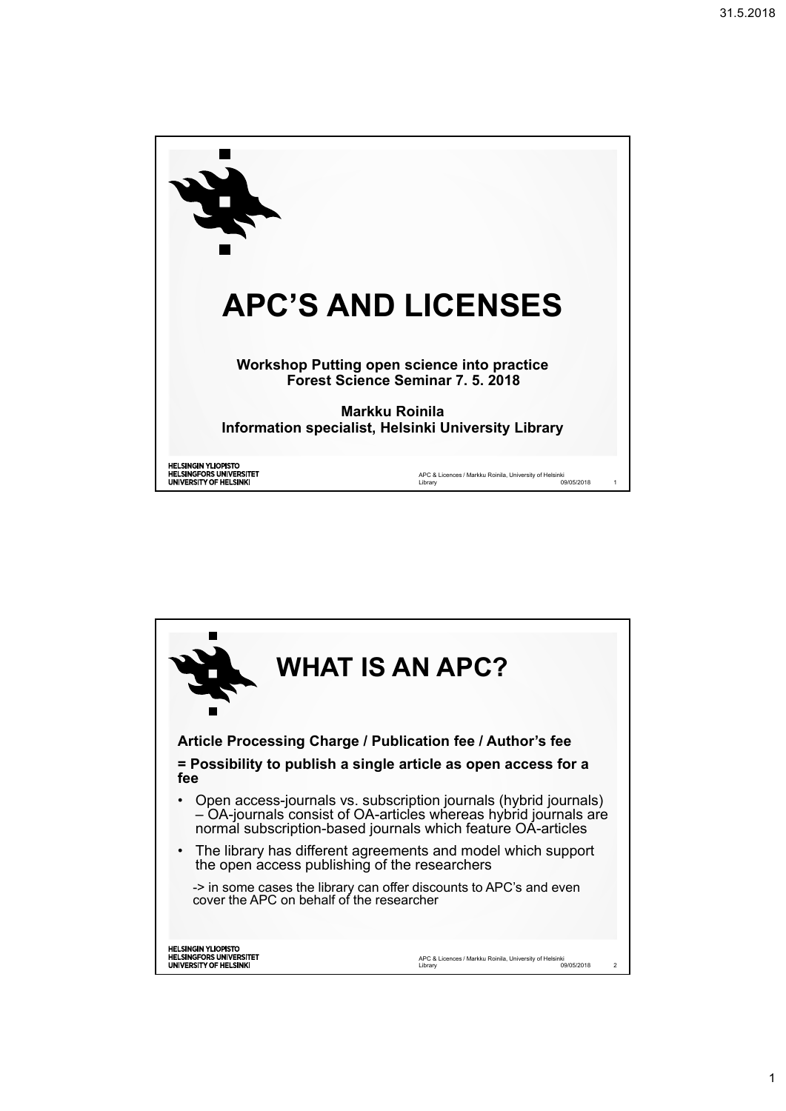

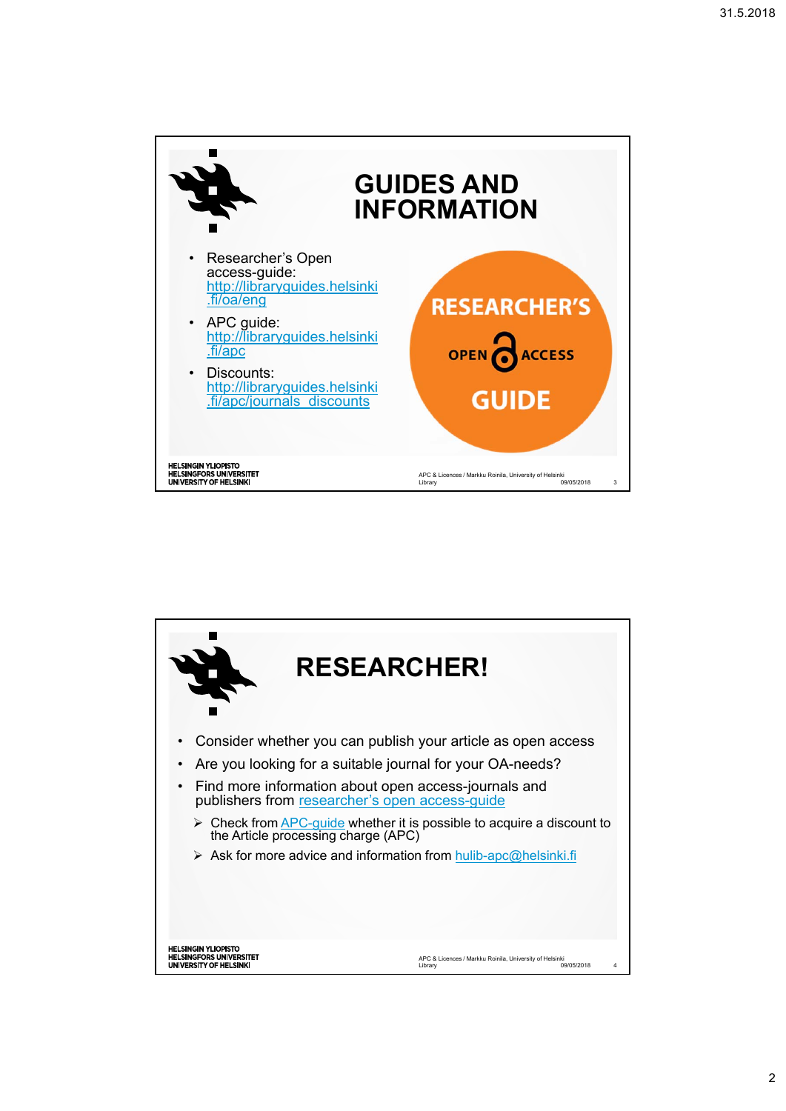

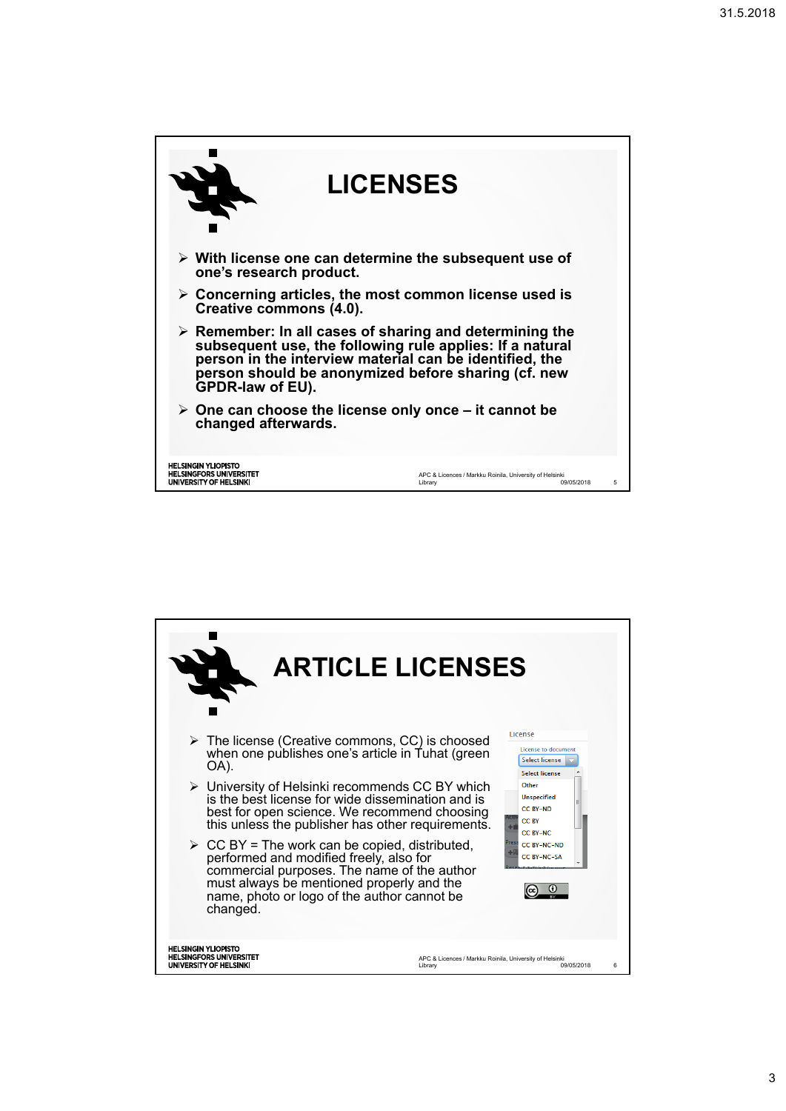

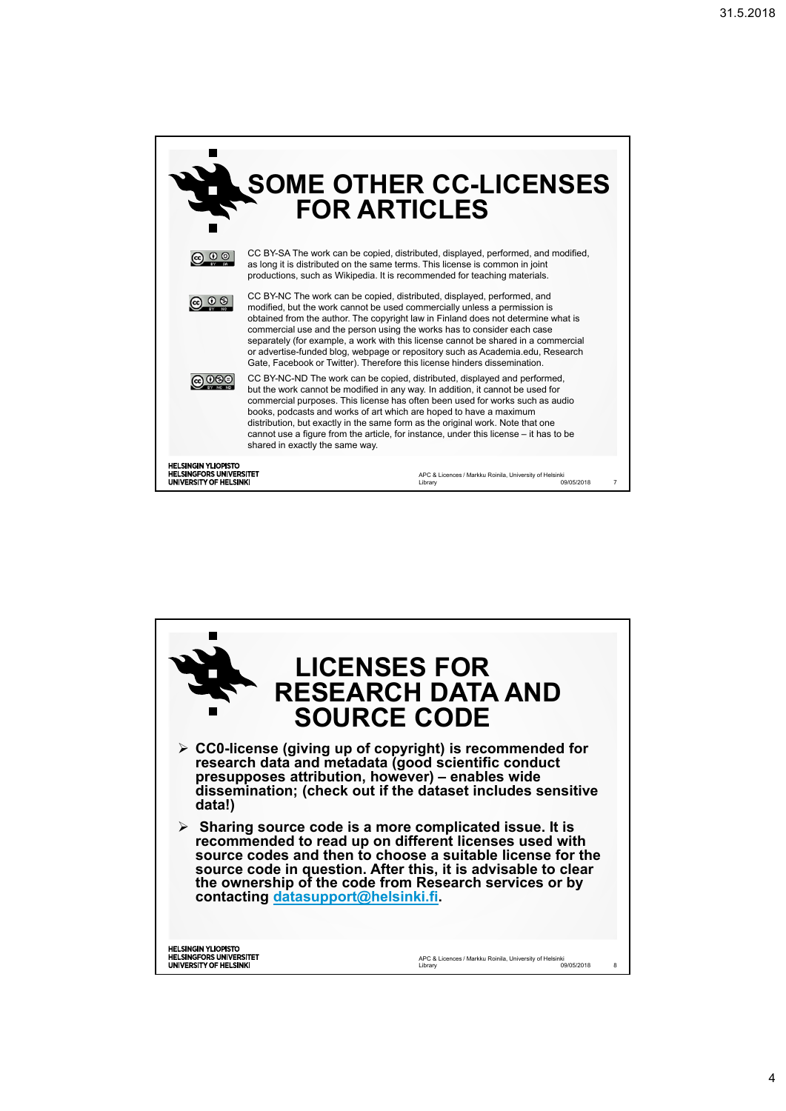